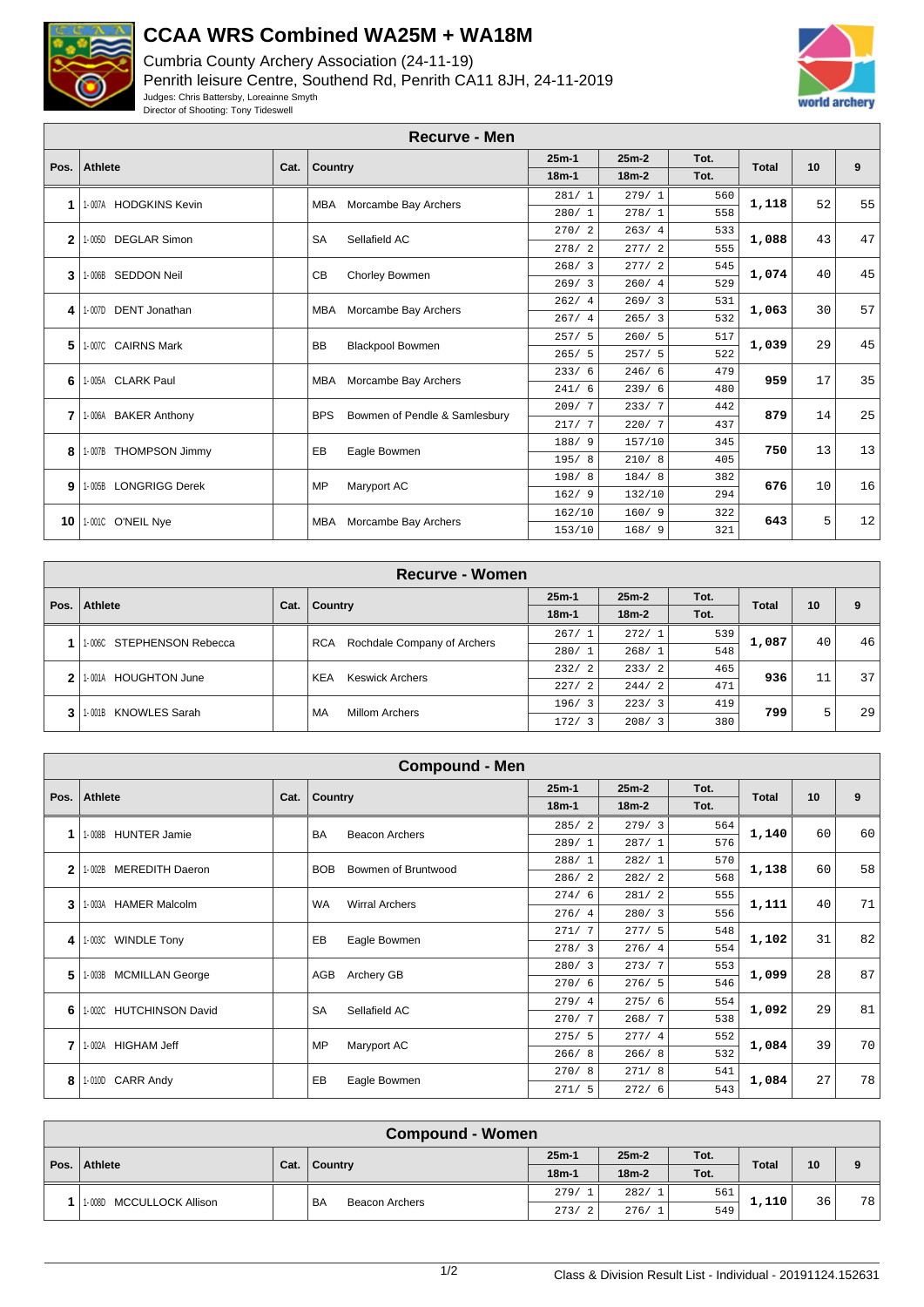

## **CCAA WRS Combined WA25M + WA18M**

Cumbria County Archery Association (24-11-19) Penrith leisure Centre, Southend Rd, Penrith CA11 8JH, 24-11-2019 Judges: Chris Battersby, Loreainne Smyth Director of Shooting: Tony Tideswell



|                | <b>Recurve - Men</b>           |      |            |                               |         |         |      |              |    |    |  |  |
|----------------|--------------------------------|------|------------|-------------------------------|---------|---------|------|--------------|----|----|--|--|
| Pos.           | Athlete                        | Cat. |            |                               | $25m-1$ | $25m-2$ | Tot. | <b>Total</b> | 10 | 9  |  |  |
|                |                                |      | Country    |                               | $18m-1$ | $18m-2$ | Tot. |              |    |    |  |  |
| 1              | 1-007A HODGKINS Kevin          |      | <b>MBA</b> | Morcambe Bay Archers          | 281/1   | 279/1   | 560  | 1,118        | 52 | 55 |  |  |
|                |                                |      |            |                               | 280/1   | 278/1   | 558  |              |    |    |  |  |
| $\mathbf{2}$   | <b>DEGLAR Simon</b><br>1-005D  |      | <b>SA</b>  | Sellafield AC                 | 270/2   | 263/4   | 533  | 1,088        | 43 | 47 |  |  |
|                |                                |      |            |                               | 278/2   | 277/2   | 555  |              |    |    |  |  |
| 3              | 1-006B SEDDON Neil             |      | CB         | Chorley Bowmen                | 268/3   | 277/2   | 545  | 1,074        | 40 | 45 |  |  |
|                |                                |      |            |                               | 269/3   | 260/4   | 529  |              |    |    |  |  |
| 4              | <b>DENT Jonathan</b><br>1-007D |      | MBA        | Morcambe Bay Archers          | 262/4   | 269/3   | 531  | 1,063        | 30 | 57 |  |  |
|                |                                |      |            |                               | 267/4   | 265/3   | 532  |              |    |    |  |  |
| 5              | 1-007C CAIRNS Mark             |      | <b>BB</b>  | <b>Blackpool Bowmen</b>       | 257/5   | 260/5   | 517  | 1,039        | 29 | 45 |  |  |
|                |                                |      |            |                               | 265/5   | 257/5   | 522  |              |    |    |  |  |
| 6              | 1-005A CLARK Paul              |      | MBA        | Morcambe Bay Archers          | 233/6   | 246/6   | 479  | 959          | 17 | 35 |  |  |
|                |                                |      |            |                               | 241/6   | 239/6   | 480  |              |    |    |  |  |
| 7              | 1-006A BAKER Anthony           |      | <b>BPS</b> | Bowmen of Pendle & Samlesbury | 209/7   | 233/7   | 442  | 879          | 14 | 25 |  |  |
|                |                                |      |            |                               | 217/7   | 220/7   | 437  |              |    |    |  |  |
| 8              | 1-007B THOMPSON Jimmy          |      | EB         | Eagle Bowmen                  | 188/ 9  | 157/10  | 345  | 750          | 13 | 13 |  |  |
|                |                                |      |            |                               | 195/8   | 210/8   | 405  |              |    |    |  |  |
| 9 <sup>1</sup> | 1-005B LONGRIGG Derek          |      | <b>MP</b>  | Maryport AC                   | 198/8   | 184/8   | 382  | 676          | 10 | 16 |  |  |
|                |                                |      |            |                               | 162/9   | 132/10  | 294  |              |    |    |  |  |
| 10             | 1-001C O'NEIL Nye              |      | <b>MBA</b> | Morcambe Bay Archers          | 162/10  | 160/9   | 322  | 643          | 5  | 12 |  |  |
|                |                                |      |            |                               | 153/10  | 168/9   | 321  |              |    |    |  |  |

|      | Recurve - Women                |      |                             |                                           |         |         |      |              |    |                 |  |
|------|--------------------------------|------|-----------------------------|-------------------------------------------|---------|---------|------|--------------|----|-----------------|--|
| Pos. | Athlete                        | Cat. | Country                     |                                           | $25m-1$ | $25m-2$ | Tot. | <b>Total</b> | 10 | 9               |  |
|      |                                |      |                             |                                           | $18m-1$ | $18m-2$ | Tot. |              |    |                 |  |
|      | 1-006C STEPHENSON Rebecca      |      |                             | Rochdale Company of Archers<br><b>RCA</b> | 267/1   | 272/1   | 539  | 1,087        | 40 | 46              |  |
|      |                                |      |                             |                                           | 280/1   | 268/1   | 548  |              |    |                 |  |
|      | <b>HOUGHTON June</b><br>1-001A |      |                             | <b>KEA</b><br><b>Keswick Archers</b>      | 232/2   | 233/2   | 465  | 936          | 11 | 37 <sup>1</sup> |  |
|      |                                |      |                             |                                           | 227/2   | 244/2   | 471  |              |    |                 |  |
|      | 1-001B KNOWLES Sarah           |      | MA<br><b>Millom Archers</b> |                                           | 196/3   | 223/3   | 419  | 799          |    | 29              |  |
| 3    |                                |      |                             | 172/<br>3                                 | 208/3   | 380     |      | 5            |    |                 |  |

|      | <b>Compound - Men</b>            |      |            |                       |         |         |      |              |    |    |  |
|------|----------------------------------|------|------------|-----------------------|---------|---------|------|--------------|----|----|--|
|      | <b>Athlete</b>                   |      |            |                       | $25m-1$ | $25m-2$ | Tot. | <b>Total</b> | 10 | 9  |  |
| Pos. |                                  | Cat. | Country    |                       | $18m-1$ | $18m-2$ | Tot. |              |    |    |  |
|      | <b>HUNTER Jamie</b>              |      | <b>BA</b>  | <b>Beacon Archers</b> | 285/2   | 279/3   | 564  | 1,140        | 60 | 60 |  |
|      | 1-008B                           |      |            |                       | 289/1   | 287/1   | 576  |              |    |    |  |
| 2    | <b>MEREDITH Daeron</b><br>1-002B |      | <b>BOB</b> | Bowmen of Bruntwood   | 288/1   | 282/1   | 570  | 1,138        | 60 | 58 |  |
|      |                                  |      |            |                       | 286/2   | 282/2   | 568  |              |    |    |  |
| 3    | <b>HAMER Malcolm</b><br>1-003A   |      | <b>WA</b>  | <b>Wirral Archers</b> | 274/6   | 281/2   | 555  | 1,111        | 40 | 71 |  |
|      |                                  |      |            |                       | 276/4   | 280/3   | 556  |              |    |    |  |
| 4    | 1-003C WINDLE Tony               |      | EB         | Eagle Bowmen          | 271/7   | 277/5   | 548  | 1,102        | 31 | 82 |  |
|      |                                  |      |            |                       | 278/3   | 276/4   | 554  |              |    |    |  |
| 5    | <b>MCMILLAN George</b><br>1-003B |      | AGB        | Archery GB            | 280/3   | 273/7   | 553  | 1,099        | 28 | 87 |  |
|      |                                  |      |            |                       | 270/6   | 276/5   | 546  |              |    |    |  |
| 6    | 1-002C HUTCHINSON David          |      | <b>SA</b>  | Sellafield AC         | 279/4   | 275/6   | 554  | 1,092        | 29 | 81 |  |
|      |                                  |      |            |                       | 270/7   | 268/7   | 538  |              |    |    |  |
| 7    | <b>HIGHAM Jeff</b><br>1-002A     |      | MP         | Maryport AC           | 275/5   | 277/4   | 552  | 1,084        | 39 | 70 |  |
|      |                                  |      |            |                       | 266/8   | 266/8   | 532  |              |    |    |  |
| 8    | 1-010D CARR Andy                 |      | EB         | Eagle Bowmen          | 270/8   | 271/8   | 541  | 1,084        | 27 | 78 |  |
|      |                                  |      |            |                       | 271/5   | 272/6   | 543  |              |    |    |  |

|      | <b>Compound - Women</b>  |      |                             |         |         |      |              |    |    |  |  |
|------|--------------------------|------|-----------------------------|---------|---------|------|--------------|----|----|--|--|
|      | Athlete                  |      |                             | $25m-1$ | $25m-2$ | Tot. | <b>Total</b> | 10 | 9  |  |  |
| Pos. |                          | Cat. | Country                     | $18m-1$ | $18m-2$ | Tot. |              |    |    |  |  |
|      | 1-008D MCCULLOCK Allison |      | <b>BA</b><br>Beacon Archers | 279/1   | 282/1   | 561  | 1,110        | 36 | 78 |  |  |
|      |                          |      |                             | 273/2   | 276/1   | 549  |              |    |    |  |  |